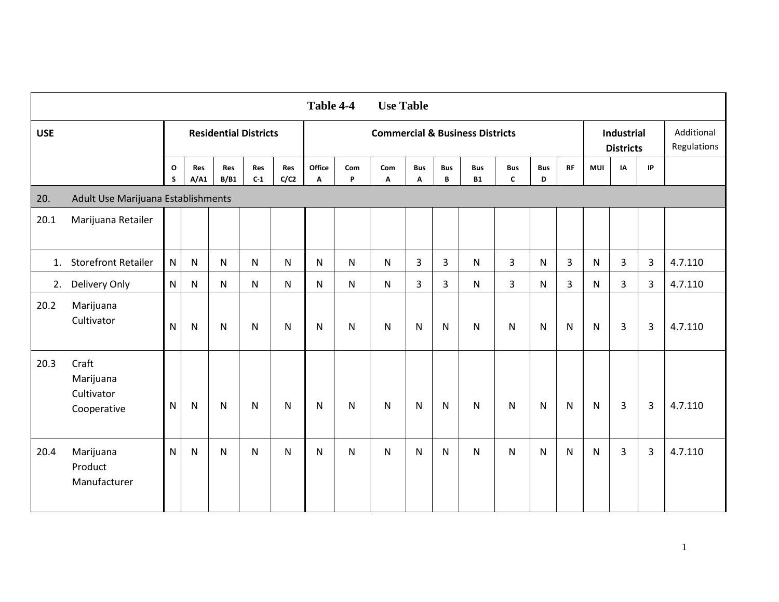| Table 4-4<br><b>Use Table</b> |                                                 |                   |              |                              |                     |              |                                            |              |              |                 |                 |                         |                            |                 |                |              |                                       |                |                           |
|-------------------------------|-------------------------------------------------|-------------------|--------------|------------------------------|---------------------|--------------|--------------------------------------------|--------------|--------------|-----------------|-----------------|-------------------------|----------------------------|-----------------|----------------|--------------|---------------------------------------|----------------|---------------------------|
| <b>USE</b>                    |                                                 |                   |              | <b>Residential Districts</b> |                     |              | <b>Commercial &amp; Business Districts</b> |              |              |                 |                 |                         |                            |                 |                |              | <b>Industrial</b><br><b>Districts</b> |                | Additional<br>Regulations |
|                               |                                                 | $\mathbf{o}$<br>S | Res<br>A/A1  | Res<br>B/B1                  | <b>Res</b><br>$C-1$ | Res<br>C/C2  | Office<br>Α                                | Com<br>P     | Com<br>Α     | <b>Bus</b><br>Α | <b>Bus</b><br>B | <b>Bus</b><br><b>B1</b> | <b>Bus</b><br>$\mathbf{C}$ | <b>Bus</b><br>D | RF             | <b>MUI</b>   | IA                                    | IP             |                           |
| 20.                           | Adult Use Marijuana Establishments              |                   |              |                              |                     |              |                                            |              |              |                 |                 |                         |                            |                 |                |              |                                       |                |                           |
| 20.1                          | Marijuana Retailer                              |                   |              |                              |                     |              |                                            |              |              |                 |                 |                         |                            |                 |                |              |                                       |                |                           |
| 1.                            | <b>Storefront Retailer</b>                      | $\mathsf{N}$      | $\mathsf{N}$ | N                            | $\mathsf{N}$        | $\mathsf{N}$ | N                                          | $\mathsf{N}$ | N            | 3               | 3               | N                       | $\overline{3}$             | $\mathsf{N}$    | $\overline{3}$ | $\mathsf{N}$ | $\overline{3}$                        | $\overline{3}$ | 4.7.110                   |
| 2.                            | Delivery Only                                   | ${\sf N}$         | N            | $\mathsf{N}$                 | N                   | ${\sf N}$    | N                                          | ${\sf N}$    | ${\sf N}$    | $\overline{3}$  | 3               | N                       | $\overline{3}$             | $\mathsf{N}$    | $\mathbf{3}$   | $\mathsf{N}$ | $\overline{3}$                        | 3              | 4.7.110                   |
| 20.2                          | Marijuana<br>Cultivator                         | $\mathsf{N}$      | N            | N                            | ${\sf N}$           | N            | N                                          | $\mathsf{N}$ | $\mathsf{N}$ | N               | N               | N                       | $\mathsf{N}$               | $\mathsf{N}$    | $\mathsf{N}$   | $\mathsf{N}$ | 3                                     | 3              | 4.7.110                   |
| 20.3                          | Craft<br>Marijuana<br>Cultivator<br>Cooperative | $\mathsf{N}$      | $\mathsf{N}$ | N                            | ${\sf N}$           | N            | N                                          | $\mathsf{N}$ | $\mathsf{N}$ | $\mathsf{N}$    | N               | N                       | $\mathsf{N}$               | $\mathsf{N}$    | $\mathsf{N}$   | $\mathsf{N}$ | 3                                     | $\overline{3}$ | 4.7.110                   |
| 20.4                          | Marijuana<br>Product<br>Manufacturer            | $\mathsf{N}$      | N            | N                            | N                   | $\mathsf{N}$ | N                                          | $\mathsf{N}$ | $\mathsf{N}$ | N               | N               | N                       | ${\sf N}$                  | $\mathsf{N}$    | $\mathsf{N}$   | $\mathsf{N}$ | 3                                     | 3              | 4.7.110                   |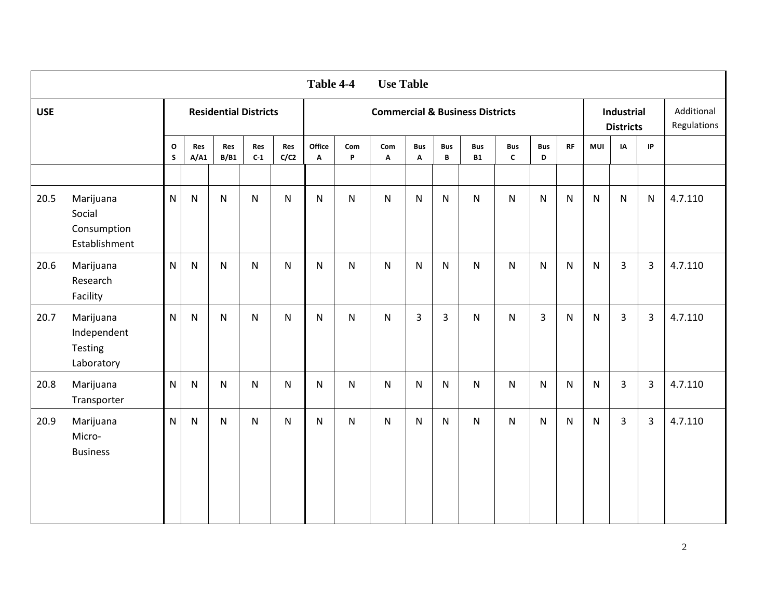| <b>Use Table</b><br>Table 4-4 |                                                     |                              |              |                              |              |              |                                            |              |                                  |                 |                            |                         |                            |                 |              |              |                                |           |                           |
|-------------------------------|-----------------------------------------------------|------------------------------|--------------|------------------------------|--------------|--------------|--------------------------------------------|--------------|----------------------------------|-----------------|----------------------------|-------------------------|----------------------------|-----------------|--------------|--------------|--------------------------------|-----------|---------------------------|
| <b>USE</b>                    |                                                     |                              |              | <b>Residential Districts</b> |              |              | <b>Commercial &amp; Business Districts</b> |              |                                  |                 |                            |                         |                            |                 |              |              | Industrial<br><b>Districts</b> |           | Additional<br>Regulations |
|                               |                                                     | $\mathbf{o}$<br>$\mathsf{s}$ | Res<br>A/A1  | Res<br>B/B1                  | Res<br>$C-1$ | Res<br>C/C2  | Office<br>A                                | Com<br>P     | Com<br>$\boldsymbol{\mathsf{A}}$ | <b>Bus</b><br>Α | <b>Bus</b><br>$\, {\bf B}$ | <b>Bus</b><br><b>B1</b> | <b>Bus</b><br>$\mathsf{c}$ | <b>Bus</b><br>D | RF           | <b>MUI</b>   | IA                             | IP        |                           |
|                               |                                                     |                              |              |                              |              |              |                                            |              |                                  |                 |                            |                         |                            |                 |              |              |                                |           |                           |
| 20.5                          | Marijuana<br>Social<br>Consumption<br>Establishment | $\mathsf{N}$                 | ${\sf N}$    | $\mathsf{N}$                 | N            | ${\sf N}$    | $\mathsf{N}$                               | ${\sf N}$    | N                                | N               | $\mathsf{N}$               | N                       | $\mathsf{N}$               | $\mathsf{N}$    | $\mathsf{N}$ | $\mathsf{N}$ | $\mathsf{N}$                   | ${\sf N}$ | 4.7.110                   |
| 20.6                          | Marijuana<br>Research<br>Facility                   | $\mathsf{N}$                 | $\mathsf{N}$ | $\mathsf{N}$                 | N            | ${\sf N}$    | N                                          | ${\sf N}$    | ${\sf N}$                        | N               | $\mathsf{N}$               | N                       | N                          | $\mathsf{N}$    | ${\sf N}$    | $\mathsf{N}$ | 3                              | 3         | 4.7.110                   |
| 20.7                          | Marijuana<br>Independent<br>Testing<br>Laboratory   | $\mathsf{N}$                 | $\mathsf{N}$ | $\mathsf{N}$                 | N            | $\mathsf{N}$ | $\mathsf{N}$                               | $\mathsf{N}$ | ${\sf N}$                        | $\overline{3}$  | $\overline{3}$             | N                       | $\mathsf{N}$               | $\overline{3}$  | N            | $\mathsf{N}$ | 3                              | 3         | 4.7.110                   |
| 20.8                          | Marijuana<br>Transporter                            | $\overline{\mathsf{N}}$      | $\mathsf{N}$ | N                            | N            | ${\sf N}$    | N                                          | ${\sf N}$    | N                                | N               | $\mathsf{N}$               | N                       | $\mathsf{N}$               | $\mathsf{N}$    | N            | $\mathsf{N}$ | $\overline{3}$                 | 3         | 4.7.110                   |
| 20.9                          | Marijuana<br>Micro-<br><b>Business</b>              | $\mathsf{N}$                 | $\mathsf{N}$ | $\mathsf{N}$                 | N            | N            | N                                          | $\mathsf{N}$ | ${\sf N}$                        | N               | $\mathsf{N}$               | N                       | $\mathsf{N}$               | $\mathsf{N}$    | N            | $\mathsf{N}$ | 3                              | 3         | 4.7.110                   |